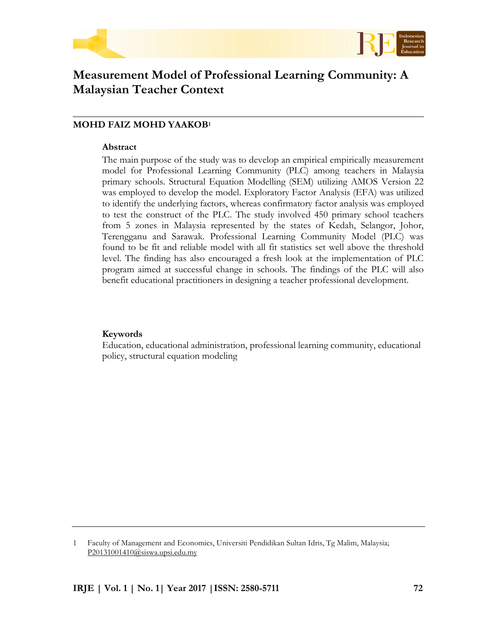



# **Measurement Model of Professional Learning Community: A Malaysian Teacher Context**

# **MOHD FAIZ MOHD YAAKOB<sup>1</sup>**

#### **Abstract**

The main purpose of the study was to develop an empirical empirically measurement model for Professional Learning Community (PLC) among teachers in Malaysia primary schools. Structural Equation Modelling (SEM) utilizing AMOS Version 22 was employed to develop the model. Exploratory Factor Analysis (EFA) was utilized to identify the underlying factors, whereas confirmatory factor analysis was employed to test the construct of the PLC. The study involved 450 primary school teachers from 5 zones in Malaysia represented by the states of Kedah, Selangor, Johor, Terengganu and Sarawak. Professional Learning Community Model (PLC) was found to be fit and reliable model with all fit statistics set well above the threshold level. The finding has also encouraged a fresh look at the implementation of PLC program aimed at successful change in schools. The findings of the PLC will also benefit educational practitioners in designing a teacher professional development.

## **Keywords**

Education, educational administration, professional learning community, educational policy, structural equation modeling

1 Faculty of Management and Economics, Universiti Pendidikan Sultan Idris, Tg Malim, Malaysia; [P20131001410@siswa.upsi.edu.my](mailto:P20131001410@siswa.upsi.edu.my)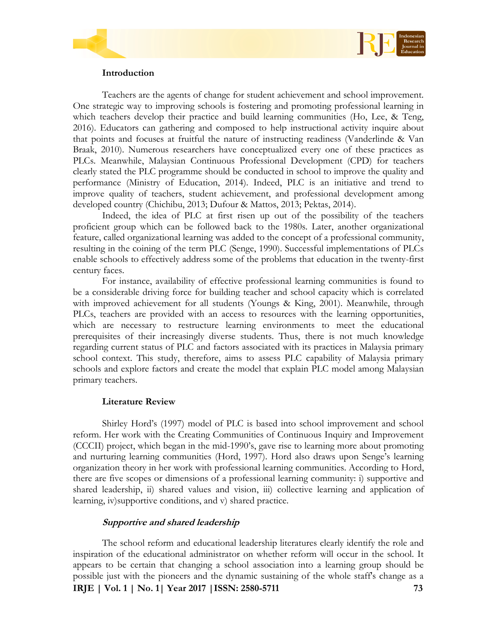



Teachers are the agents of change for student achievement and school improvement. One strategic way to improving schools is fostering and promoting professional learning in which teachers develop their practice and build learning communities (Ho, Lee, & Teng, 2016). Educators can gathering and composed to help instructional activity inquire about that points and focuses at fruitful the nature of instructing readiness (Vanderlinde & Van Braak, 2010). Numerous researchers have conceptualized every one of these practices as PLCs. Meanwhile, Malaysian Continuous Professional Development (CPD) for teachers clearly stated the PLC programme should be conducted in school to improve the quality and performance (Ministry of Education, 2014). Indeed, PLC is an initiative and trend to improve quality of teachers, student achievement, and professional development among developed country (Chichibu, 2013; Dufour & Mattos, 2013; Pektas, 2014).

Indeed, the idea of PLC at first risen up out of the possibility of the teachers proficient group which can be followed back to the 1980s. Later, another organizational feature, called organizational learning was added to the concept of a professional community, resulting in the coining of the term PLC (Senge, 1990). Successful implementations of PLCs enable schools to effectively address some of the problems that education in the twenty-first century faces.

For instance, availability of effective professional learning communities is found to be a considerable driving force for building teacher and school capacity which is correlated with improved achievement for all students (Youngs & King, 2001). Meanwhile, through PLCs, teachers are provided with an access to resources with the learning opportunities, which are necessary to restructure learning environments to meet the educational prerequisites of their increasingly diverse students. Thus, there is not much knowledge regarding current status of PLC and factors associated with its practices in Malaysia primary school context. This study, therefore, aims to assess PLC capability of Malaysia primary schools and explore factors and create the model that explain PLC model among Malaysian primary teachers.

## **Literature Review**

Shirley Hord's (1997) model of PLC is based into school improvement and school reform. Her work with the Creating Communities of Continuous Inquiry and Improvement (CCCII) project, which began in the mid-1990's, gave rise to learning more about promoting and nurturing learning communities (Hord, 1997). Hord also draws upon Senge's learning organization theory in her work with professional learning communities. According to Hord, there are five scopes or dimensions of a professional learning community: i) supportive and shared leadership, ii) shared values and vision, iii) collective learning and application of learning, iv)supportive conditions, and v) shared practice.

## **Supportive and shared leadership**

**IRJE | Vol. 1 | No. 1| Year 2017 |ISSN: 2580-5711 73** The school reform and educational leadership literatures clearly identify the role and inspiration of the educational administrator on whether reform will occur in the school. It appears to be certain that changing a school association into a learning group should be possible just with the pioneers and the dynamic sustaining of the whole staff's change as a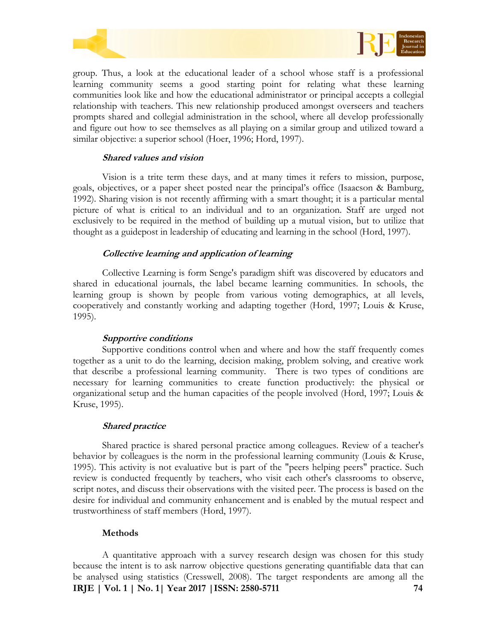



group. Thus, a look at the educational leader of a school whose staff is a professional learning community seems a good starting point for relating what these learning communities look like and how the educational administrator or principal accepts a collegial relationship with teachers. This new relationship produced amongst overseers and teachers prompts shared and collegial administration in the school, where all develop professionally and figure out how to see themselves as all playing on a similar group and utilized toward a similar objective: a superior school (Hoer, 1996; Hord, 1997).

#### **Shared values and vision**

Vision is a trite term these days, and at many times it refers to mission, purpose, goals, objectives, or a paper sheet posted near the principal's office (Isaacson & Bamburg, 1992). Sharing vision is not recently affirming with a smart thought; it is a particular mental picture of what is critical to an individual and to an organization. Staff are urged not exclusively to be required in the method of building up a mutual vision, but to utilize that thought as a guidepost in leadership of educating and learning in the school (Hord, 1997).

#### **Collective learning and application of learning**

Collective Learning is form Senge's paradigm shift was discovered by educators and shared in educational journals, the label became learning communities. In schools, the learning group is shown by people from various voting demographics, at all levels, cooperatively and constantly working and adapting together (Hord, 1997; Louis & Kruse, 1995).

#### **Supportive conditions**

Supportive conditions control when and where and how the staff frequently comes together as a unit to do the learning, decision making, problem solving, and creative work that describe a professional learning community. There is two types of conditions are necessary for learning communities to create function productively: the physical or organizational setup and the human capacities of the people involved (Hord, 1997; Louis & Kruse, 1995).

#### **Shared practice**

Shared practice is shared personal practice among colleagues. Review of a teacher's behavior by colleagues is the norm in the professional learning community (Louis & Kruse, 1995). This activity is not evaluative but is part of the "peers helping peers" practice. Such review is conducted frequently by teachers, who visit each other's classrooms to observe, script notes, and discuss their observations with the visited peer. The process is based on the desire for individual and community enhancement and is enabled by the mutual respect and trustworthiness of staff members (Hord, 1997).

#### **Methods**

**IRJE | Vol. 1 | No. 1| Year 2017 |ISSN: 2580-5711 74** A quantitative approach with a survey research design was chosen for this study because the intent is to ask narrow objective questions generating quantifiable data that can be analysed using statistics (Cresswell, 2008). The target respondents are among all the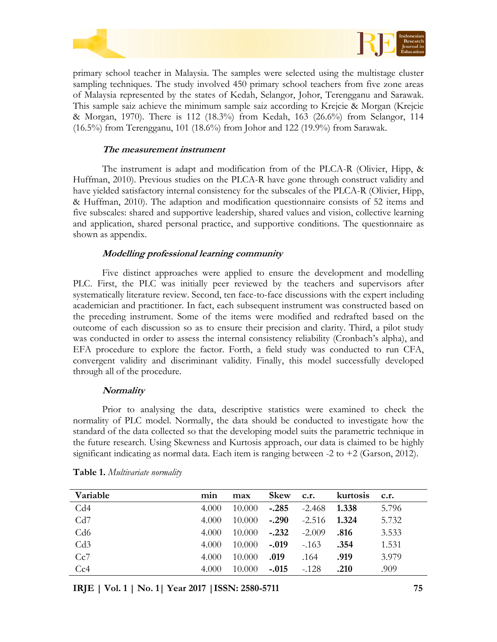



primary school teacher in Malaysia. The samples were selected using the multistage cluster sampling techniques. The study involved 450 primary school teachers from five zone areas of Malaysia represented by the states of Kedah, Selangor, Johor, Terengganu and Sarawak. This sample saiz achieve the minimum sample saiz according to Krejcie & Morgan (Krejcie & Morgan, 1970). There is 112 (18.3%) from Kedah, 163 (26.6%) from Selangor, 114 (16.5%) from Terengganu, 101 (18.6%) from Johor and 122 (19.9%) from Sarawak.

# **The measurement instrument**

The instrument is adapt and modification from of the PLCA-R (Olivier, Hipp, & Huffman, 2010). Previous studies on the PLCA-R have gone through construct validity and have yielded satisfactory internal consistency for the subscales of the PLCA-R (Olivier, Hipp, & Huffman, 2010). The adaption and modification questionnaire consists of 52 items and five subscales: shared and supportive leadership, shared values and vision, collective learning and application, shared personal practice, and supportive conditions. The questionnaire as shown as appendix.

# **Modelling professional learning community**

Five distinct approaches were applied to ensure the development and modelling PLC. First, the PLC was initially peer reviewed by the teachers and supervisors after systematically literature review. Second, ten face-to-face discussions with the expert including academician and practitioner. In fact, each subsequent instrument was constructed based on the preceding instrument. Some of the items were modified and redrafted based on the outcome of each discussion so as to ensure their precision and clarity. Third, a pilot study was conducted in order to assess the internal consistency reliability (Cronbach's alpha), and EFA procedure to explore the factor. Forth, a field study was conducted to run CFA, convergent validity and discriminant validity. Finally, this model successfully developed through all of the procedure.

## **Normality**

Prior to analysing the data, descriptive statistics were examined to check the normality of PLC model. Normally, the data should be conducted to investigate how the standard of the data collected so that the developing model suits the parametric technique in the future research. Using Skewness and Kurtosis approach, our data is claimed to be highly significant indicating as normal data. Each item is ranging between  $-2$  to  $+2$  (Garson, 2012).

| Variable | min   | max    | <b>Skew</b> | c.r.     | kurtosis | c.r.  |
|----------|-------|--------|-------------|----------|----------|-------|
| Cd4      | 4.000 | 10.000 | $-.285$     | -2.468   | 1.338    | 5.796 |
| Cd7      | 4.000 | 10.000 | $-.290$     | $-2.516$ | 1.324    | 5.732 |
| Cd6      | 4.000 | 10.000 | $-.232$     | $-2.009$ | .816     | 3.533 |
| Cd3      | 4.000 | 10.000 | $-.019$     | $-163$   | .354     | 1.531 |
| Cc7      | 4.000 | 10.000 | .019        | .164     | .919     | 3.979 |
| Cc4      | 4.000 | 10.000 | $-.015$     | $-.128$  | .210     | .909  |

|  | Table 1. Multivariate normality |  |
|--|---------------------------------|--|
|  |                                 |  |

**IRJE | Vol. 1 | No. 1| Year 2017 |ISSN: 2580-5711 75**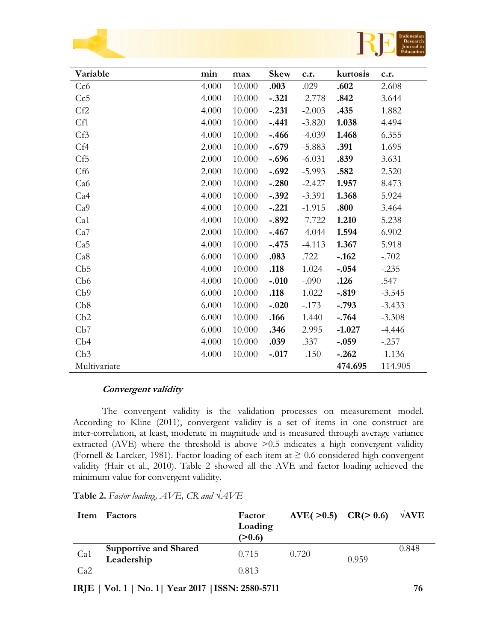



| Variable        | min   | max    | <b>Skew</b> | c.r.     | kurtosis | c.r.     |
|-----------------|-------|--------|-------------|----------|----------|----------|
| Cc6             | 4.000 | 10.000 | .003        | .029     | .602     | 2.608    |
| Cc5             | 4.000 | 10.000 | $-.321$     | $-2.778$ | .842     | 3.644    |
| Cf2             | 4.000 | 10.000 | $-.231$     | $-2.003$ | .435     | 1.882    |
| Cf1             | 4.000 | 10.000 | $-.441$     | $-3.820$ | 1.038    | 4.494    |
| Cf3             | 4.000 | 10.000 | $-.466$     | $-4.039$ | 1.468    | 6.355    |
| Cf4             | 2.000 | 10.000 | $-.679$     | $-5.883$ | .391     | 1.695    |
| Cf <sub>5</sub> | 2.000 | 10.000 | $-.696$     | $-6.031$ | .839     | 3.631    |
| Cf <sub>6</sub> | 2.000 | 10.000 | $-.692$     | $-5.993$ | .582     | 2.520    |
| Ca <sub>6</sub> | 2.000 | 10.000 | $-.280$     | $-2.427$ | 1.957    | 8.473    |
| Ca4             | 4.000 | 10.000 | $-.392$     | $-3.391$ | 1.368    | 5.924    |
| Ca9             | 4.000 | 10.000 | $-.221$     | $-1.915$ | .800     | 3.464    |
| Ca1             | 4.000 | 10.000 | $-.892$     | $-7.722$ | 1.210    | 5.238    |
| Ca7             | 2.000 | 10.000 | $-.467$     | $-4.044$ | 1.594    | 6.902    |
| Ca5             | 4.000 | 10.000 | $-.475$     | $-4.113$ | 1.367    | 5.918    |
| Ca8             | 6.000 | 10.000 | .083        | .722     | $-.162$  | $-.702$  |
| Cb5             | 4.000 | 10.000 | .118        | 1.024    | $-.054$  | $-.235$  |
| Cb6             | 4.000 | 10.000 | $-.010$     | $-.090$  | .126     | .547     |
| Cb9             | 6.000 | 10.000 | .118        | 1.022    | $-.819$  | $-3.545$ |
| Cb8             | 6.000 | 10.000 | $-.020$     | $-173$   | $-.793$  | $-3.433$ |
| Cb2             | 6.000 | 10.000 | .166        | 1.440    | $-.764$  | $-3.308$ |
| Cb7             | 6.000 | 10.000 | .346        | 2.995    | $-1.027$ | $-4.446$ |
| Cb4             | 4.000 | 10.000 | .039        | .337     | $-.059$  | $-.257$  |
| Cb3             | 4.000 | 10.000 | $-.017$     | $-.150$  | $-.262$  | $-1.136$ |
| Multivariate    |       |        |             |          | 474.695  | 114.905  |

## **Convergent validity**

The convergent validity is the validation processes on measurement model. According to Kline (2011), convergent validity is a set of items in one construct are inter-correlation, at least, moderate in magnitude and is measured through average variance extracted (AVE) where the threshold is above  $\geq 0.5$  indicates a high convergent validity (Fornell & Larcker, 1981). Factor loading of each item at  $\geq 0.6$  considered high convergent validity (Hair et al., 2010). Table 2 showed all the AVE and factor loading achieved the minimum value for convergent validity.

| Item | Factors                                    | Factor<br>Loading<br>(>0.6) | $AVE( >0.5)$ $CR( > 0.6)$ |       | $\sqrt{\rm AVE}$ |
|------|--------------------------------------------|-----------------------------|---------------------------|-------|------------------|
| Ca1  | <b>Supportive and Shared</b><br>Leadership | 0.715                       | 0.720                     | 0.959 | 0.848            |
| Ca2  |                                            | 0.813                       |                           |       |                  |

**Table 2.** *Factor loading, AVE, CR and √AVE*

**IRJE | Vol. 1 | No. 1| Year 2017 |ISSN: 2580-5711 76**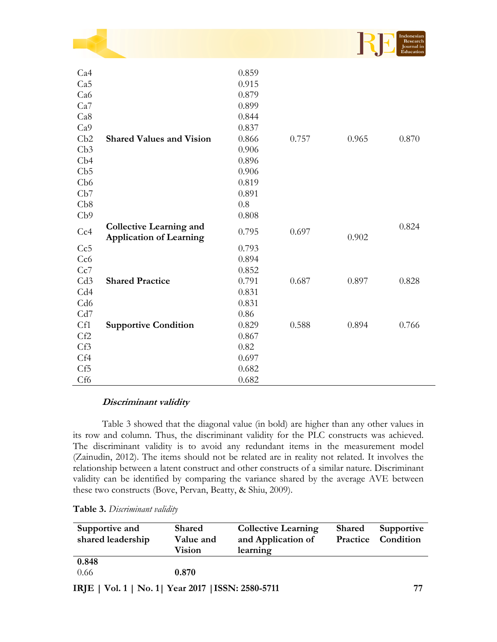|                 |                                                                  |       |       |       | Indonesian<br>Research<br>Journal in<br><b>Éducation</b> |
|-----------------|------------------------------------------------------------------|-------|-------|-------|----------------------------------------------------------|
| Ca4             |                                                                  | 0.859 |       |       |                                                          |
| Ca5             |                                                                  | 0.915 |       |       |                                                          |
| Ca6             |                                                                  | 0.879 |       |       |                                                          |
| Ca7             |                                                                  | 0.899 |       |       |                                                          |
| Ca8             |                                                                  | 0.844 |       |       |                                                          |
| Ca <sub>9</sub> |                                                                  | 0.837 |       |       |                                                          |
| Cb2             | <b>Shared Values and Vision</b>                                  | 0.866 | 0.757 | 0.965 | 0.870                                                    |
| Cb3             |                                                                  | 0.906 |       |       |                                                          |
| Cb4             |                                                                  | 0.896 |       |       |                                                          |
| Cb5             |                                                                  | 0.906 |       |       |                                                          |
| Cb6             |                                                                  | 0.819 |       |       |                                                          |
| Cb7             |                                                                  | 0.891 |       |       |                                                          |
| Cb8             |                                                                  | 0.8   |       |       |                                                          |
| Cb9             |                                                                  | 0.808 |       |       |                                                          |
| Cc4             | <b>Collective Learning and</b><br><b>Application of Learning</b> | 0.795 | 0.697 | 0.902 | 0.824                                                    |
| Cc5             |                                                                  | 0.793 |       |       |                                                          |
| Cc <sub>6</sub> |                                                                  | 0.894 |       |       |                                                          |
| Cc7             |                                                                  | 0.852 |       |       |                                                          |
| Cd <sub>3</sub> | <b>Shared Practice</b>                                           | 0.791 | 0.687 | 0.897 | 0.828                                                    |
| Cd4             |                                                                  | 0.831 |       |       |                                                          |
| Cd <sub>6</sub> |                                                                  | 0.831 |       |       |                                                          |
| Cd7             |                                                                  | 0.86  |       |       |                                                          |
| Cf1             | <b>Supportive Condition</b>                                      | 0.829 | 0.588 | 0.894 | 0.766                                                    |
| Cf2             |                                                                  | 0.867 |       |       |                                                          |
| Cf3             |                                                                  | 0.82  |       |       |                                                          |
| Cf4             |                                                                  | 0.697 |       |       |                                                          |
| Cf5             |                                                                  | 0.682 |       |       |                                                          |
| Cf <sub>6</sub> |                                                                  | 0.682 |       |       |                                                          |

# **Discriminant validity**

Table 3 showed that the diagonal value (in bold) are higher than any other values in its row and column. Thus, the discriminant validity for the PLC constructs was achieved. The discriminant validity is to avoid any redundant items in the measurement model (Zainudin, 2012). The items should not be related are in reality not related. It involves the relationship between a latent construct and other constructs of a similar nature. Discriminant validity can be identified by comparing the variance shared by the average AVE between these two constructs (Bove, Pervan, Beatty, & Shiu, 2009).

| Supportive and    | <b>Shared</b> | <b>Collective Learning</b> | <b>Shared</b> | Supportive         |
|-------------------|---------------|----------------------------|---------------|--------------------|
| shared leadership | Value and     | and Application of         |               | Practice Condition |
|                   | Vision        | learning                   |               |                    |
| 0.848             |               |                            |               |                    |
| 0.66              | 0.870         |                            |               |                    |
|                   |               |                            |               |                    |

**Table 3.** *Discriminant validity*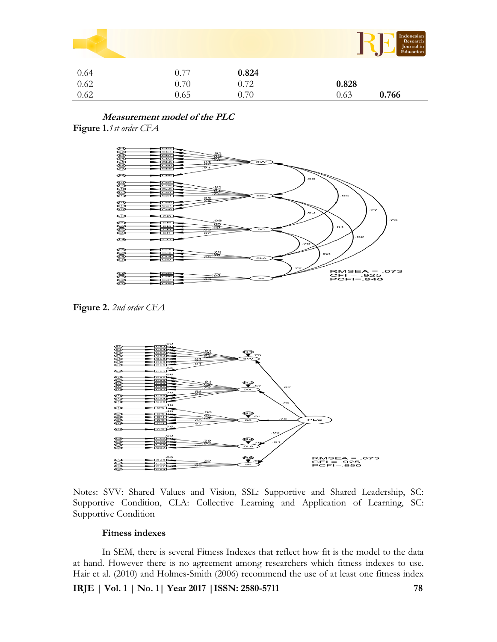|      |      |       | Indonesian<br>Research<br>Journal in<br>Education |
|------|------|-------|---------------------------------------------------|
| 0.64 | 0.77 | 0.824 |                                                   |
| 0.62 | 0.70 | 0.72  | 0.828                                             |
| 0.62 | 0.65 | 0.70  | 0.766<br>0.63                                     |

**Measurement model of the PLC Figure 1.***1st order CFA*



**Figure 2.** *2nd order CFA*



Notes: SVV: Shared Values and Vision, SSL: Supportive and Shared Leadership, SC: Supportive Condition, CLA: Collective Learning and Application of Learning, SC: Supportive Condition

## **Fitness indexes**

In SEM, there is several Fitness Indexes that reflect how fit is the model to the data at hand. However there is no agreement among researchers which fitness indexes to use. Hair et al. (2010) and Holmes-Smith (2006) recommend the use of at least one fitness index

**IRJE | Vol. 1 | No. 1| Year 2017 |ISSN: 2580-5711 78**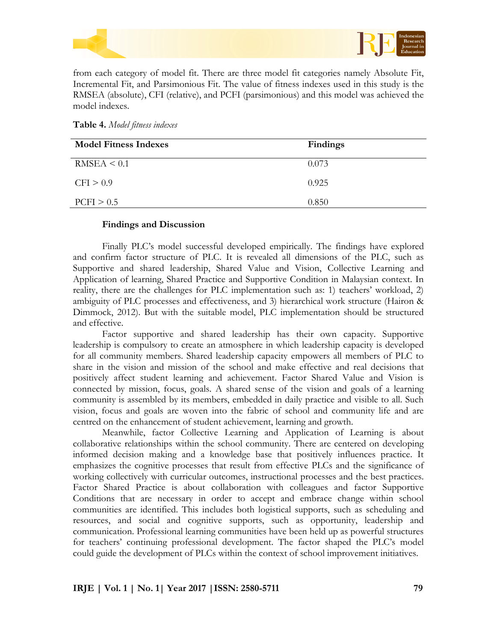

from each category of model fit. There are three model fit categories namely Absolute Fit, Incremental Fit, and Parsimonious Fit. The value of fitness indexes used in this study is the RMSEA (absolute), CFI (relative), and PCFI (parsimonious) and this model was achieved the model indexes.

**Table 4.** *Model fitness indexes*

| <b>Model Fitness Indexes</b> | <b>Findings</b> |
|------------------------------|-----------------|
| RMSEA < 0.1                  | 0.073           |
| CFI > 0.9                    | 0.925           |
| PCFI > 0.5                   | 0.850           |

# **Findings and Discussion**

Finally PLC's model successful developed empirically. The findings have explored and confirm factor structure of PLC. It is revealed all dimensions of the PLC, such as Supportive and shared leadership, Shared Value and Vision, Collective Learning and Application of learning, Shared Practice and Supportive Condition in Malaysian context. In reality, there are the challenges for PLC implementation such as: 1) teachers' workload, 2) ambiguity of PLC processes and effectiveness, and 3) hierarchical work structure (Hairon & Dimmock, 2012). But with the suitable model, PLC implementation should be structured and effective.

Factor supportive and shared leadership has their own capacity. Supportive leadership is compulsory to create an atmosphere in which leadership capacity is developed for all community members. Shared leadership capacity empowers all members of PLC to share in the vision and mission of the school and make effective and real decisions that positively affect student learning and achievement. Factor Shared Value and Vision is connected by mission, focus, goals. A shared sense of the vision and goals of a learning community is assembled by its members, embedded in daily practice and visible to all. Such vision, focus and goals are woven into the fabric of school and community life and are centred on the enhancement of student achievement, learning and growth.

Meanwhile, factor Collective Learning and Application of Learning is about collaborative relationships within the school community. There are centered on developing informed decision making and a knowledge base that positively influences practice. It emphasizes the cognitive processes that result from effective PLCs and the significance of working collectively with curricular outcomes, instructional processes and the best practices. Factor Shared Practice is about collaboration with colleagues and factor Supportive Conditions that are necessary in order to accept and embrace change within school communities are identified. This includes both logistical supports, such as scheduling and resources, and social and cognitive supports, such as opportunity, leadership and communication. Professional learning communities have been held up as powerful structures for teachers' continuing professional development. The factor shaped the PLC's model could guide the development of PLCs within the context of school improvement initiatives.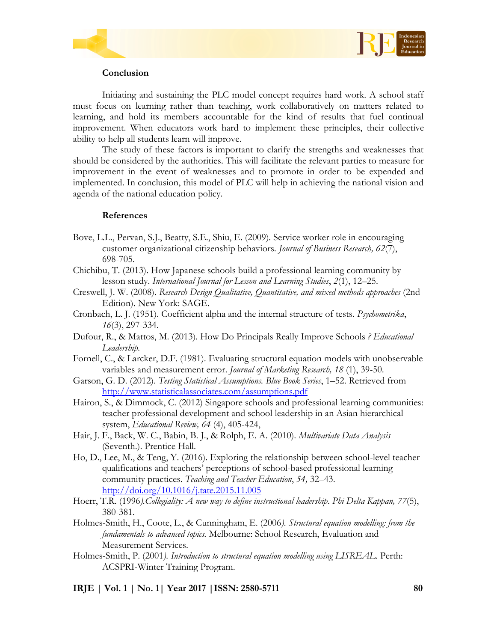



# **Conclusion**

Initiating and sustaining the PLC model concept requires hard work. A school staff must focus on learning rather than teaching, work collaboratively on matters related to learning, and hold its members accountable for the kind of results that fuel continual improvement. When educators work hard to implement these principles, their collective ability to help all students learn will improve.

The study of these factors is important to clarify the strengths and weaknesses that should be considered by the authorities. This will facilitate the relevant parties to measure for improvement in the event of weaknesses and to promote in order to be expended and implemented. In conclusion, this model of PLC will help in achieving the national vision and agenda of the national education policy.

# **References**

- Bove, L.L., Pervan, S.J., Beatty, S.E., Shiu, E. (2009). Service worker role in encouraging customer organizational citizenship behaviors. *Journal of Business Research, 62*(7), 698-705.
- Chichibu, T. (2013). How Japanese schools build a professional learning community by lesson study. *International Journal for Lesson and Learning Studies*, *2*(1), 12–25.
- Creswell, J. W. (2008). *Research Design Qualitative, Quantitative, and mixed methods approaches* (2nd Edition). New York: SAGE.
- Cronbach, L. J. (1951). Coefficient alpha and the internal structure of tests. *Psychometrika*, *16*(3), 297-334.
- Dufour, R., & Mattos, M. (2013). How Do Principals Really Improve Schools *? Educational Leadership.*
- Fornell, C., & Larcker, D.F. (1981). Evaluating structural equation models with unobservable variables and measurement error. *Journal of Marketing Research, 18* (1), 39-50.
- Garson, G. D. (2012). *Testing Statistical Assumptions. Blue Book Series*, 1–52. Retrieved from <http://www.statisticalassociates.com/assumptions.pdf>
- Hairon, S., & Dimmock, C. (2012) Singapore schools and professional learning communities: teacher professional development and school leadership in an Asian hierarchical system, *Educational Review, 64* (4), 405-424,
- Hair, J. F., Back, W. C., Babin, B. J., & Rolph, E. A. (2010). *Multivariate Data Analysis* (Seventh.). Prentice Hall.
- Ho, D., Lee, M., & Teng, Y. (2016). Exploring the relationship between school-level teacher qualifications and teachers' perceptions of school-based professional learning community practices. *Teaching and Teacher Education*, *54,* 32–43. <http://doi.org/10.1016/j.tate.2015.11.005>
- Hoerr, T.R. (1996*).Collegiality: A new way to define instructional leadership*. *Phi Delta Kappan, 77*(5), 380-381.
- Holmes-Smith, H., Coote, L., & Cunningham, E. (2006*). Structural equation modelling: from the fundamentals to advanced topics.* Melbourne: School Research, Evaluation and Measurement Services.
- Holmes-Smith, P. (2001*). Introduction to structural equation modelling using LISREAL*. Perth: ACSPRI-Winter Training Program.